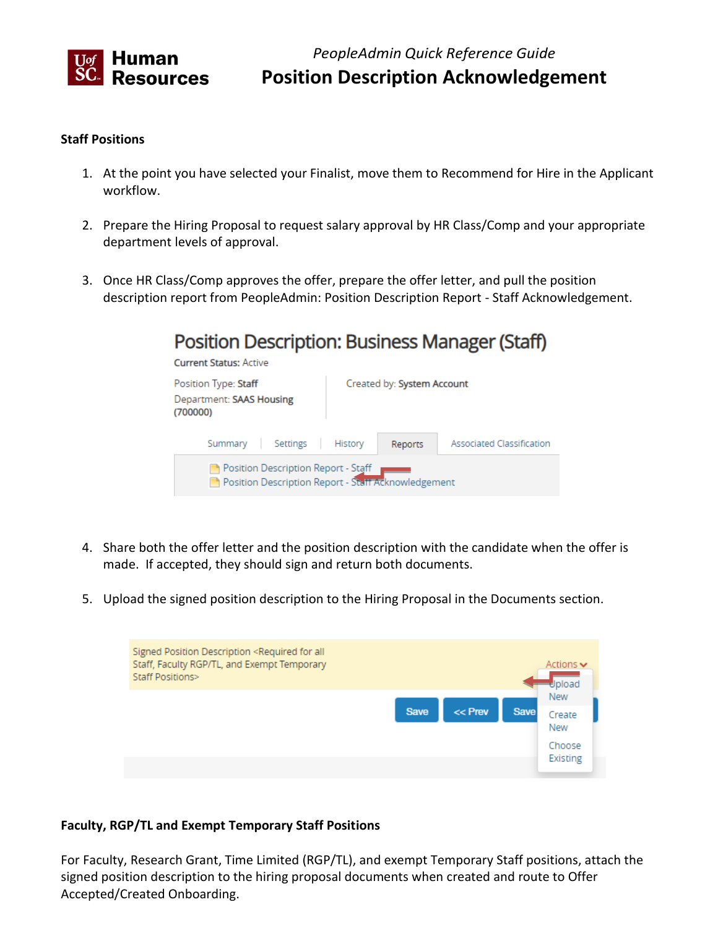

*PeopleAdmin Quick Reference Guide*  **Position Description Acknowledgement** 

#### **Staff Positions**

- 1. At the point you have selected your Finalist, move them to Recommend for Hire in the Applicant workflow.
- 2. Prepare the Hiring Proposal to request salary approval by HR Class/Comp and your appropriate department levels of approval.
- 3. Once HR Class/Comp approves the offer, prepare the offer letter, and pull the position description report from PeopleAdmin: Position Description Report - Staff Acknowledgement.

# **Position Description: Business Manager (Staff)**

**Current Status: Active** 



- 4. Share both the offer letter and the position description with the candidate when the offer is made. If accepted, they should sign and return both documents.
- 5. Upload the signed position description to the Hiring Proposal in the Documents section.

| Signed Position Description <required all<br="" for="">Staff, Faculty RGP/TL, and Exempt Temporary<br/>Staff Positions&gt;</required> |             |           |             | Actions $\blacktriangleright$<br>Upload                  |
|---------------------------------------------------------------------------------------------------------------------------------------|-------------|-----------|-------------|----------------------------------------------------------|
|                                                                                                                                       | <b>Save</b> | $<<$ Prev | <b>Save</b> | <b>New</b><br>Create<br>New<br>Choose<br><b>Existing</b> |

#### **Faculty, RGP/TL and Exempt Temporary Staff Positions**

 For Faculty, Research Grant, Time Limited (RGP/TL), and exempt Temporary Staff positions, attach the signed position description to the hiring proposal documents when created and route to Offer Accepted/Created Onboarding.